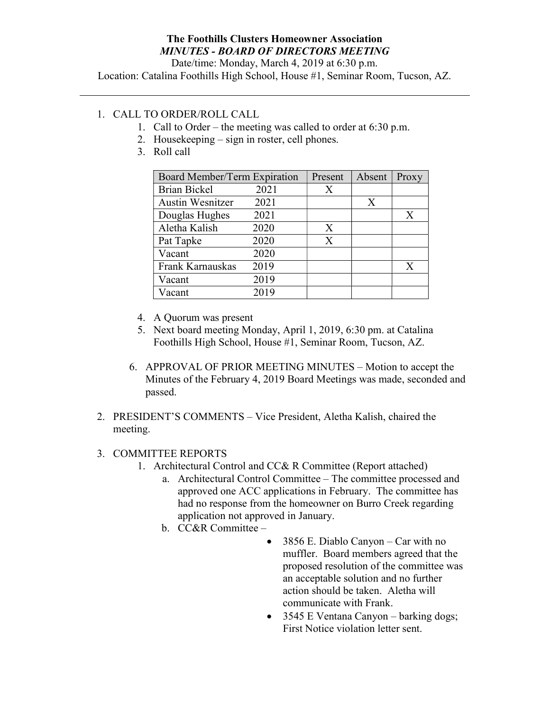## The Foothills Clusters Homeowner Association MINUTES - BOARD OF DIRECTORS MEETING

Date/time: Monday, March 4, 2019 at 6:30 p.m.

Location: Catalina Foothills High School, House #1, Seminar Room, Tucson, AZ.

## 1. CALL TO ORDER/ROLL CALL

- 1. Call to Order the meeting was called to order at 6:30 p.m.
- 2. Housekeeping sign in roster, cell phones.
- 3. Roll call

| Board Member/Term Expiration |      | Present | Absent | Proxy        |
|------------------------------|------|---------|--------|--------------|
| <b>Brian Bickel</b>          | 2021 | X       |        |              |
| <b>Austin Wesnitzer</b>      | 2021 |         | X      |              |
| Douglas Hughes               | 2021 |         |        | $\mathbf{X}$ |
| Aletha Kalish                | 2020 | X       |        |              |
| Pat Tapke                    | 2020 | X       |        |              |
| Vacant                       | 2020 |         |        |              |
| Frank Karnauskas             | 2019 |         |        | X            |
| Vacant                       | 2019 |         |        |              |
| Vacant                       | 2019 |         |        |              |

- 4. A Quorum was present
- 5. Next board meeting Monday, April 1, 2019, 6:30 pm. at Catalina Foothills High School, House #1, Seminar Room, Tucson, AZ.
- 6. APPROVAL OF PRIOR MEETING MINUTES Motion to accept the Minutes of the February 4, 2019 Board Meetings was made, seconded and passed.
- 2. PRESIDENT'S COMMENTS Vice President, Aletha Kalish, chaired the meeting.

## 3. COMMITTEE REPORTS

- 1. Architectural Control and CC& R Committee (Report attached)
	- a. Architectural Control Committee The committee processed and approved one ACC applications in February. The committee has had no response from the homeowner on Burro Creek regarding application not approved in January.
	- b. CC&R Committee
		- 3856 E. Diablo Canyon Car with no muffler. Board members agreed that the proposed resolution of the committee was an acceptable solution and no further action should be taken. Aletha will communicate with Frank.
		- 3545 E Ventana Canyon barking dogs; First Notice violation letter sent.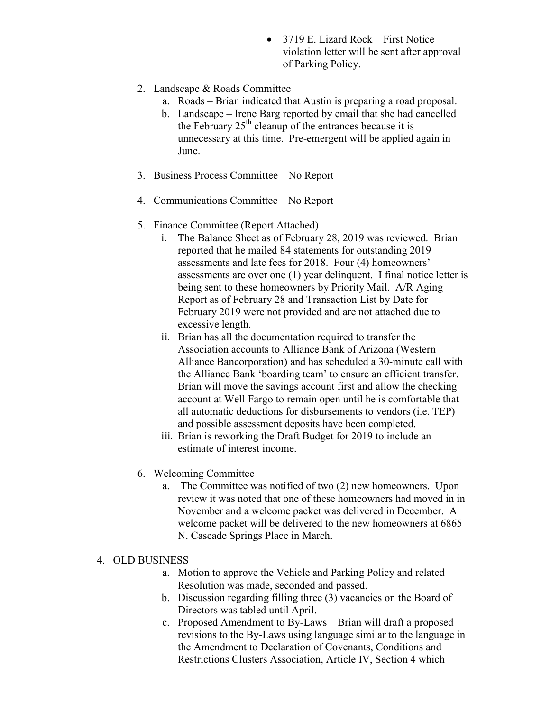- 3719 E. Lizard Rock First Notice violation letter will be sent after approval of Parking Policy.
- 2. Landscape & Roads Committee
	- a. Roads Brian indicated that Austin is preparing a road proposal.
	- b. Landscape Irene Barg reported by email that she had cancelled the February  $25<sup>th</sup>$  cleanup of the entrances because it is unnecessary at this time. Pre-emergent will be applied again in June.
- 3. Business Process Committee No Report
- 4. Communications Committee No Report
- 5. Finance Committee (Report Attached)
	- i. The Balance Sheet as of February 28, 2019 was reviewed. Brian reported that he mailed 84 statements for outstanding 2019 assessments and late fees for 2018. Four (4) homeowners' assessments are over one (1) year delinquent. I final notice letter is being sent to these homeowners by Priority Mail. A/R Aging Report as of February 28 and Transaction List by Date for February 2019 were not provided and are not attached due to excessive length.
	- ii. Brian has all the documentation required to transfer the Association accounts to Alliance Bank of Arizona (Western Alliance Bancorporation) and has scheduled a 30-minute call with the Alliance Bank 'boarding team' to ensure an efficient transfer. Brian will move the savings account first and allow the checking account at Well Fargo to remain open until he is comfortable that all automatic deductions for disbursements to vendors (i.e. TEP) and possible assessment deposits have been completed.
	- iii. Brian is reworking the Draft Budget for 2019 to include an estimate of interest income.
- 6. Welcoming Committee
	- a. The Committee was notified of two (2) new homeowners. Upon review it was noted that one of these homeowners had moved in in November and a welcome packet was delivered in December. A welcome packet will be delivered to the new homeowners at 6865 N. Cascade Springs Place in March.
- 4. OLD BUSINESS
	- a. Motion to approve the Vehicle and Parking Policy and related Resolution was made, seconded and passed.
	- b. Discussion regarding filling three (3) vacancies on the Board of Directors was tabled until April.
	- c. Proposed Amendment to By-Laws Brian will draft a proposed revisions to the By-Laws using language similar to the language in the Amendment to Declaration of Covenants, Conditions and Restrictions Clusters Association, Article IV, Section 4 which